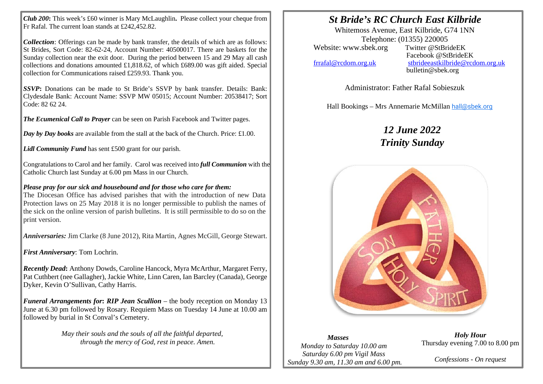*Club 200***:** This week's £60 winner is Mary McLaughlin**.** Please collect your cheque from Fr Rafal. The current loan stands at £242,452.82.

*Collection*: Offerings can be made by bank transfer, the details of which are as follows: St Brides, Sort Code: 82-62-24, Account Number: 40500017. There are baskets for the Sunday collection near the exit door. During the period between 15 and 29 May all cash collections and donations amounted £1,818.62, of which £689.00 was gift aided. Special collection for Communications raised £259.93. Thank you.

*SSVP***:** Donations can be made to St Bride's SSVP by bank transfer. Details: Bank: Clydesdale Bank: Account Name: SSVP MW 05015; Account Number: 20538417; Sort Code: 82 62 24.

*The Ecumenical Call to Prayer* can be seen on Parish Facebook and Twitter pages.

*Day by Day books* are available from the stall at the back of the Church. Price: £1.00.

*Lidl Community Fund* has sent £500 grant for our parish.

Congratulations to Carol and her family. Carol was received into *full Communion* with the Catholic Church last Sunday at 6.00 pm Mass in our Church.

## *Please pray for our sick and housebound and for those who care for them:*

The Diocesan Office has advised parishes that with the introduction of new Data Protection laws on 25 May 2018 it is no longer permissible to publish the names of the sick on the online version of parish bulletins. It is still permissible to do so on the print version.

*Anniversaries:* Jim Clarke (8 June 2012), Rita Martin, Agnes McGill, George Stewart.

*First Anniversary*: Tom Lochrin.

*Recently Dead***:** Anthony Dowds, Caroline Hancock, Myra McArthur, Margaret Ferry, Pat Cuthbert (nee Gallagher), Jackie White, Linn Caren, Ian Barcley (Canada), George Dyker, Kevin O'Sullivan, Cathy Harris.

*Funeral Arrangements for***:** *RIP Jean Scullion* – the body reception on Monday 13 June at 6.30 pm followed by Rosary. Requiem Mass on Tuesday 14 June at 10.00 am followed by burial in St Conval's Cemetery.

> *May their souls and the souls of all the faithful departed, through the mercy of God, rest in peace. Amen.*

## *St Bride's RC Church East Kilbride*

Whitemoss Avenue, East Kilbride, G74 1NN Telephone: (01355) 220005<br>
sbek.org Twitter @StBrideEK Website: www.sbek.org

I I

> Facebook @StBrideEK [frrafal@rcdom.org.uk](mailto:frrafal@rcdom.org.uk) [stbrideeastkilbride@rcdom.org.uk](mailto:stbrideeastkilbride@rcdom.org.uk)  bulletin@sbek.org

> > Administrator: Father Rafal Sobieszuk

Hall Bookings – Mrs Annemarie McMillan [hall@sbek.org](mailto:hall@sbek.org)

## *12 June 2022 Trinity Sunday*



## *Masses Monday to Saturday 10.00 am Saturday 6.00 pm Vigil Mass Sunday 9.30 am, 11.30 am and 6.00 pm.*

*Holy Hour* Thursday evening 7.00 to 8.00 pm

*Confessions - On request*